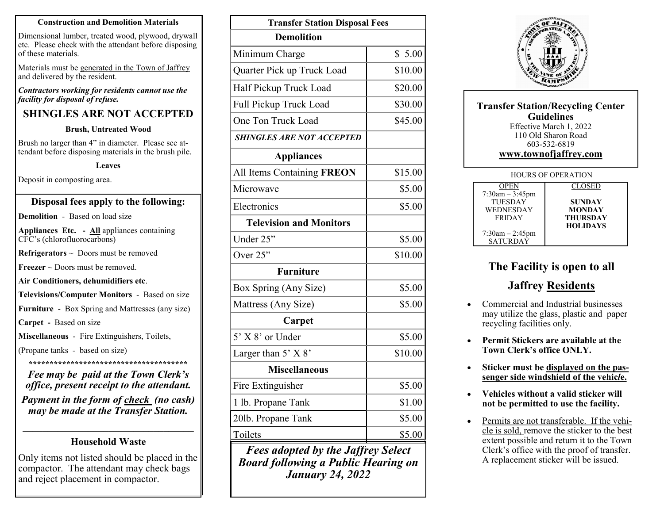#### **Construction and Demolition Materials**

Dimensional lumber, treated wood, plywood, drywall etc. Please check with the attendant before disposing of these materials.

Materials must be generated in the Town of Jaffrey and delivered by the resident.

#### *Contractors working for residents cannot use the facility for disposal of refuse.*

### **SHINGLES ARE NOT ACCEPTED**

#### **Brush, Untreated Wood**

Brush no larger than 4" in diameter. Please see attendant before disposing materials in the brush pile.

#### **Leaves**

Deposit in composting area.

#### **Disposal fees apply to the following:**

**Demolition** - Based on load size

**Appliances Etc. - All** appliances containing CFC's (chlorofluorocarbons)

**Refrigerators** ~ Doors must be removed

**Freezer** ~ Doors must be removed.

**Air Conditioners, dehumidifiers etc**.

**Televisions/Computer Monitors** - Based on size

**Furniture** - Box Spring and Mattresses (any size)

**Carpet -** Based on size

**Miscellaneous** - Fire Extinguishers, Toilets,

(Propane tanks - based on size)

**\*\*\*\*\*\*\*\*\*\*\*\*\*\*\*\*\*\*\*\*\*\*\*\*\*\*\*\*\*\*\*\*\*\*\*\*\*\***

*Fee may be paid at the Town Clerk's office, present receipt to the attendant.* 

*Payment in the form of check (no cash) may be made at the Transfer Station.*

### **\_\_\_\_\_\_\_\_\_\_\_\_\_\_\_\_\_\_\_\_\_\_\_\_\_\_\_\_\_\_\_\_\_\_ Household Waste**

Only items not listed should be placed in the compactor. The attendant may check bags and reject placement in compactor.

| <b>Transfer Station Disposal Fees</b>     |         |  |  |
|-------------------------------------------|---------|--|--|
| <b>Demolition</b>                         |         |  |  |
| Minimum Charge                            | \$5.00  |  |  |
| Quarter Pick up Truck Load                | \$10.00 |  |  |
| Half Pickup Truck Load                    | \$20.00 |  |  |
| Full Pickup Truck Load                    | \$30.00 |  |  |
| One Ton Truck Load                        | \$45.00 |  |  |
| <b>SHINGLES ARE NOT ACCEPTED</b>          |         |  |  |
| <b>Appliances</b>                         |         |  |  |
| All Items Containing FREON                | \$15.00 |  |  |
| Microwave                                 | \$5.00  |  |  |
| Electronics                               | \$5.00  |  |  |
| <b>Television and Monitors</b>            |         |  |  |
| Under 25"                                 | \$5.00  |  |  |
| Over $25$ "                               | \$10.00 |  |  |
| <b>Furniture</b>                          |         |  |  |
| Box Spring (Any Size)                     | \$5.00  |  |  |
| Mattress (Any Size)                       | \$5.00  |  |  |
| Carpet                                    |         |  |  |
| 5' X 8' or Under                          | \$5.00  |  |  |
| Larger than 5' X 8'                       | \$10.00 |  |  |
| <b>Miscellaneous</b>                      |         |  |  |
| Fire Extinguisher                         | \$5.00  |  |  |
| 1 lb. Propane Tank                        | \$1.00  |  |  |
| 201b. Propane Tank                        | \$5.00  |  |  |
| Toilets                                   | \$5.00  |  |  |
| <b>Fees adopted by the Jaffrey Select</b> |         |  |  |

*Fees adopted by the Jaffrey Select Board following a Public Hearing on January 24, 2022*



| <b>Transfer Station/Recycling Center</b><br><b>Guidelines</b><br>Effective March 1, 2022<br>110 Old Sharon Road<br>603-532-6819<br>www.townofjaffrey.com |                      |                 |  |
|----------------------------------------------------------------------------------------------------------------------------------------------------------|----------------------|-----------------|--|
| <b>HOURS OF OPERATION</b>                                                                                                                                |                      |                 |  |
|                                                                                                                                                          | <b>OPEN</b>          | <b>CLOSED</b>   |  |
|                                                                                                                                                          | $7:30am - 3:45pm$    |                 |  |
|                                                                                                                                                          | <b>TUESDAY</b>       | <b>SUNDAY</b>   |  |
|                                                                                                                                                          | <b>WEDNESDAY</b>     | <b>MONDAY</b>   |  |
|                                                                                                                                                          | <b>FRIDAY</b>        | <b>THURSDAY</b> |  |
|                                                                                                                                                          |                      | <b>HOLIDAYS</b> |  |
|                                                                                                                                                          | $7:30$ am $-2:45$ pm |                 |  |
|                                                                                                                                                          | SATURDAY             |                 |  |

# **The Facility is open to all**

### **Jaffrey Residents**

- Commercial and Industrial businesses may utilize the glass, plastic and paper recycling facilities only.
- **Permit Stickers are available at the Town Clerk's office ONLY.**
- **Sticker must be displayed on the passenger side windshield of the vehic***l***e.**
- **Vehicles without a valid sticker will not be permitted to use the facility.**
- Permits are not transferable. If the vehicle is sold, remove the sticker to the best extent possible and return it to the Town Clerk's office with the proof of transfer. A replacement sticker will be issued.